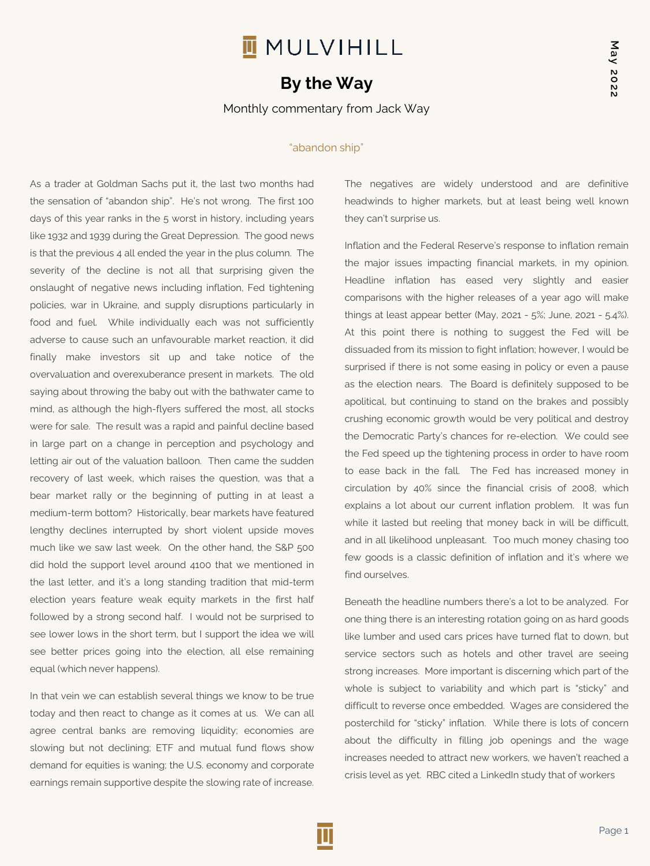## **II** MULVIHILL

## **By the Way**

Monthly commentary from Jack Way

## "abandon ship"

As a trader at Goldman Sachs put it, the last two months had the sensation of "abandon ship". He's not wrong. The first 100 days of this year ranks in the 5 worst in history, including years like 1932 and 1939 during the Great Depression. The good news is that the previous 4 all ended the year in the plus column. The severity of the decline is not all that surprising given the onslaught of negative news including inflation, Fed tightening policies, war in Ukraine, and supply disruptions particularly in food and fuel. While individually each was not sufficiently adverse to cause such an unfavourable market reaction, it did finally make investors sit up and take notice of the overvaluation and overexuberance present in markets. The old saying about throwing the baby out with the bathwater came to mind, as although the high-flyers suffered the most, all stocks were for sale. The result was a rapid and painful decline based in large part on a change in perception and psychology and letting air out of the valuation balloon. Then came the sudden recovery of last week, which raises the question, was that a bear market rally or the beginning of putting in at least a medium-term bottom? Historically, bear markets have featured lengthy declines interrupted by short violent upside moves much like we saw last week. On the other hand, the S&P 500 did hold the support level around 4100 that we mentioned in the last letter, and it's a long standing tradition that mid-term election years feature weak equity markets in the first half followed by a strong second half. I would not be surprised to see lower lows in the short term, but I support the idea we will see better prices going into the election, all else remaining equal (which never happens).

In that vein we can establish several things we know to be true today and then react to change as it comes at us. We can all agree central banks are removing liquidity; economies are slowing but not declining; ETF and mutual fund flows show demand for equities is waning; the U.S. economy and corporate earnings remain supportive despite the slowing rate of increase.

The negatives are widely understood and are definitive headwinds to higher markets, but at least being well known they can't surprise us.

Inflation and the Federal Reserve's response to inflation remain the major issues impacting financial markets, in my opinion. Headline inflation has eased very slightly and easier comparisons with the higher releases of a year ago will make things at least appear better (May, 2021 - 5%; June, 2021 - 5.4%). At this point there is nothing to suggest the Fed will be dissuaded from its mission to fight inflation; however, I would be surprised if there is not some easing in policy or even a pause as the election nears. The Board is definitely supposed to be apolitical, but continuing to stand on the brakes and possibly crushing economic growth would be very political and destroy the Democratic Party's chances for re-election. We could see the Fed speed up the tightening process in order to have room to ease back in the fall. The Fed has increased money in circulation by 40% since the financial crisis of 2008, which explains a lot about our current inflation problem. It was fun while it lasted but reeling that money back in will be difficult, and in all likelihood unpleasant. Too much money chasing too few goods is a classic definition of inflation and it's where we find ourselves.

Beneath the headline numbers there's a lot to be analyzed. For one thing there is an interesting rotation going on as hard goods like lumber and used cars prices have turned flat to down, but service sectors such as hotels and other travel are seeing strong increases. More important is discerning which part of the whole is subject to variability and which part is "sticky" and difficult to reverse once embedded. Wages are considered the posterchild for "sticky" inflation. While there is lots of concern about the difficulty in filling job openings and the wage increases needed to attract new workers, we haven't reached a crisis level as yet. RBC cited a LinkedIn study that of workers

**May 2022**

May 2022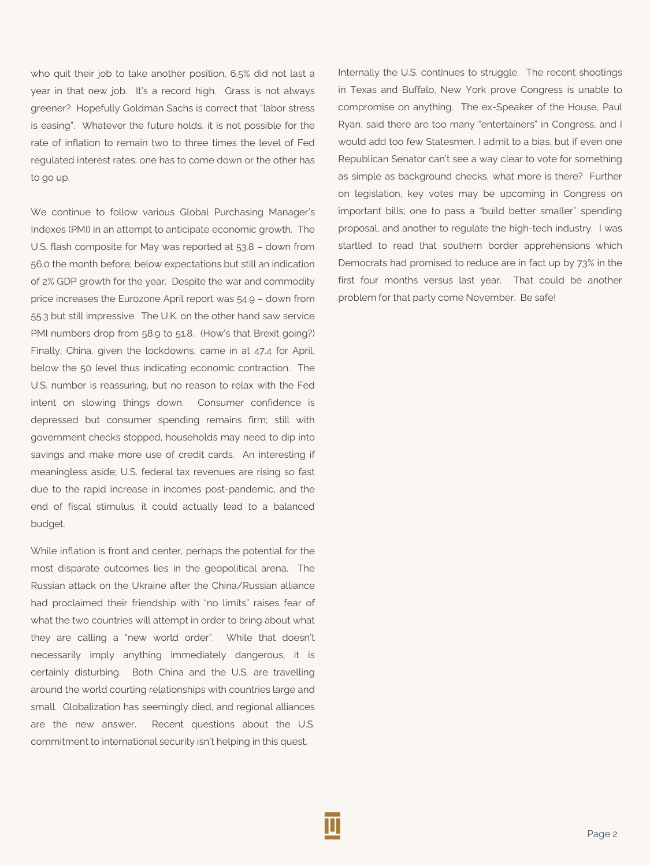who quit their job to take another position, 6.5% did not last a year in that new job. It's a record high. Grass is not always greener? Hopefully Goldman Sachs is correct that "labor stress is easing". Whatever the future holds, it is not possible for the rate of inflation to remain two to three times the level of Fed regulated interest rates; one has to come down or the other has to go up.

We continue to follow various Global Purchasing Manager's Indexes (PMI) in an attempt to anticipate economic growth. The U.S. flash composite for May was reported at 53.8 – down from 56.0 the month before; below expectations but still an indication of 2% GDP growth for the year. Despite the war and commodity price increases the Eurozone April report was 54.9 – down from 55.3 but still impressive. The U.K. on the other hand saw service PMI numbers drop from 58.9 to 51.8. (How's that Brexit going?) Finally, China, given the lockdowns, came in at 47.4 for April, below the 50 level thus indicating economic contraction. The U.S. number is reassuring, but no reason to relax with the Fed intent on slowing things down. Consumer confidence is depressed but consumer spending remains firm; still with government checks stopped, households may need to dip into savings and make more use of credit cards. An interesting if meaningless aside; U.S. federal tax revenues are rising so fast due to the rapid increase in incomes post-pandemic, and the end of fiscal stimulus, it could actually lead to a balanced budget.

While inflation is front and center, perhaps the potential for the most disparate outcomes lies in the geopolitical arena. The Russian attack on the Ukraine after the China/Russian alliance had proclaimed their friendship with "no limits" raises fear of what the two countries will attempt in order to bring about what they are calling a "new world order". While that doesn't necessarily imply anything immediately dangerous, it is certainly disturbing. Both China and the U.S. are travelling around the world courting relationships with countries large and small. Globalization has seemingly died, and regional alliances are the new answer. Recent questions about the U.S. commitment to international security isn't helping in this quest.

Internally the U.S. continues to struggle. The recent shootings in Texas and Buffalo, New York prove Congress is unable to compromise on anything. The ex-Speaker of the House, Paul Ryan, said there are too many "entertainers" in Congress, and I would add too few Statesmen. I admit to a bias, but if even one Republican Senator can't see a way clear to vote for something as simple as background checks, what more is there? Further on legislation, key votes may be upcoming in Congress on important bills; one to pass a "build better smaller" spending proposal, and another to regulate the high-tech industry. I was startled to read that southern border apprehensions which Democrats had promised to reduce are in fact up by 73% in the first four months versus last year. That could be another problem for that party come November. Be safe!